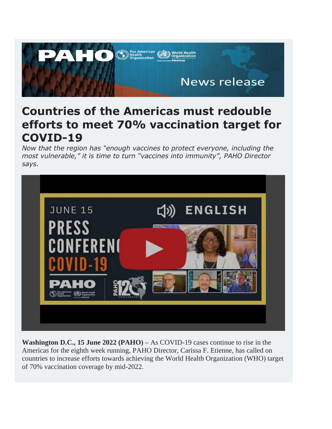

## **Countries of the Americas must redouble efforts to meet 70% vaccination target for COVID-19**

*Now that the region has "enough vaccines to protect everyone, including the most vulnerable," it is time to turn "vaccines into immunity", PAHO Director says.*



**Washington D.C., 15 June 2022 (PAHO) –** As COVID-19 cases continue to rise in the Americas for the eighth week running, PAHO Director, Carissa F. Etienne, has called on countries to increase efforts towards achieving the World Health Organization (WHO) target of 70% vaccination coverage by mid-2022.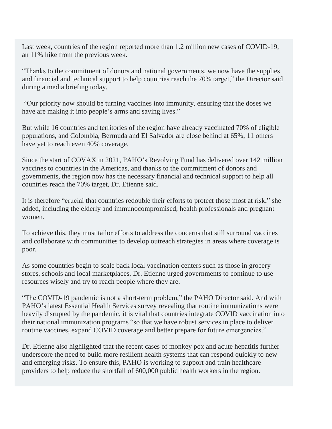Last week, countries of the region reported more than 1.2 million new cases of COVID-19, an 11% hike from the previous week.

"Thanks to the commitment of donors and national governments, we now have the supplies and financial and technical support to help countries reach the 70% target," the Director said during a media briefing today.

"Our priority now should be turning vaccines into immunity, ensuring that the doses we have are making it into people's arms and saving lives."

But while 16 countries and territories of the region have already vaccinated 70% of eligible populations, and Colombia, Bermuda and El Salvador are close behind at 65%, 11 others have yet to reach even 40% coverage.

Since the start of COVAX in 2021, PAHO's Revolving Fund has delivered over 142 million vaccines to countries in the Americas, and thanks to the commitment of donors and governments, the region now has the necessary financial and technical support to help all countries reach the 70% target, Dr. Etienne said.

It is therefore "crucial that countries redouble their efforts to protect those most at risk," she added, including the elderly and immunocompromised, health professionals and pregnant women.

To achieve this, they must tailor efforts to address the concerns that still surround vaccines and collaborate with communities to develop outreach strategies in areas where coverage is poor.

As some countries begin to scale back local vaccination centers such as those in grocery stores, schools and local marketplaces, Dr. Etienne urged governments to continue to use resources wisely and try to reach people where they are.

"The COVID-19 pandemic is not a short-term problem," the PAHO Director said. And with PAHO's latest Essential Health Services survey revealing that routine immunizations were heavily disrupted by the pandemic, it is vital that countries integrate COVID vaccination into their national immunization programs "so that we have robust services in place to deliver routine vaccines, expand COVID coverage and better prepare for future emergencies."

Dr. Etienne also highlighted that the recent cases of monkey pox and acute hepatitis further underscore the need to build more resilient health systems that can respond quickly to new and emerging risks. To ensure this, PAHO is working to support and train healthcare providers to help reduce the shortfall of 600,000 public health workers in the region.